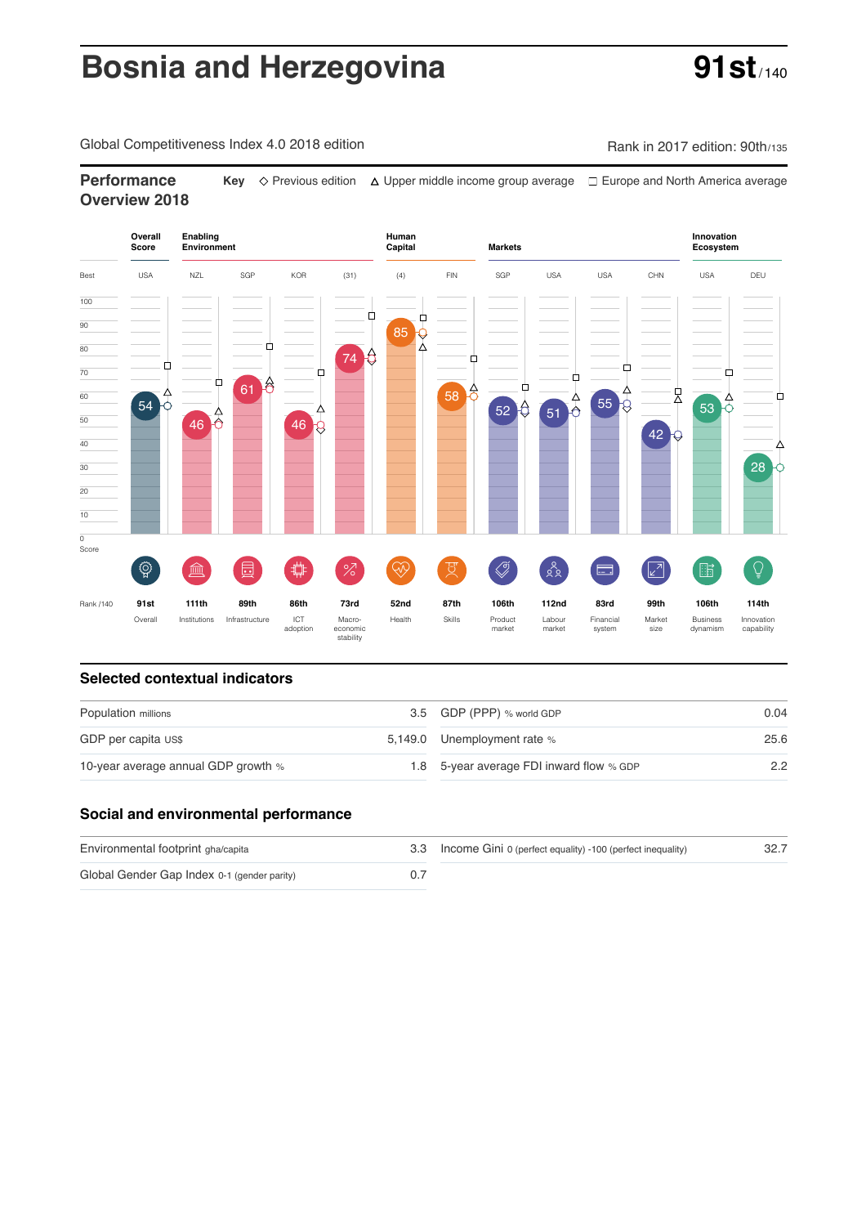# **Bosnia and Herzegovina <b>91st**

Global Competitiveness Index 4.0 2018 edition Company Rank in 2017 edition: 90th/135

**Performance** Key  $\Diamond$  Previous edition △ Upper middle income group average □ Europe and North America average **Overview 2018**



#### **Selected contextual indicators**

| Population millions                 | 3.5 GDP (PPP) % world GDP                | 0.04 |  |
|-------------------------------------|------------------------------------------|------|--|
| GDP per capita US\$                 | 5,149.0 Unemployment rate %              | 25.6 |  |
| 10-year average annual GDP growth % | 1.8 5-year average FDI inward flow % GDP | 2.2  |  |

### **Social and environmental performance**

| Environmental footprint gha/capita          | 3.3 Income Gini 0 (perfect equality) -100 (perfect inequality) | 32.7 |
|---------------------------------------------|----------------------------------------------------------------|------|
| Global Gender Gap Index 0-1 (gender parity) |                                                                |      |

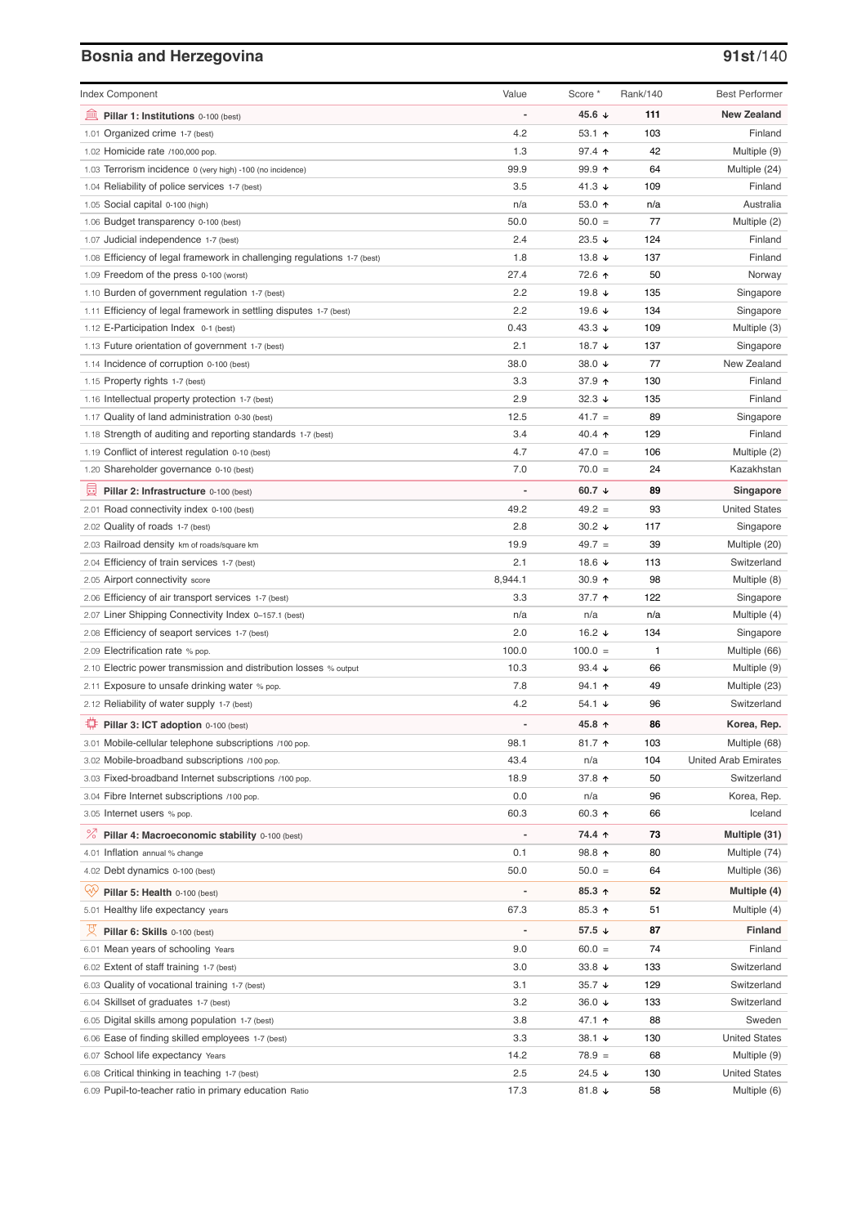# **Bosnia and Herzegovina 91st**/140

| <b>Index Component</b>                                                                                  | Value                    | Score *                            | Rank/140  | <b>Best Performer</b>                |
|---------------------------------------------------------------------------------------------------------|--------------------------|------------------------------------|-----------|--------------------------------------|
| 寙<br>Pillar 1: Institutions 0-100 (best)                                                                | $\overline{a}$           | 45.6 ↓                             | 111       | <b>New Zealand</b>                   |
| 1.01 Organized crime 1-7 (best)                                                                         | 4.2                      | 53.1 $\uparrow$                    | 103       | Finland                              |
| 1.02 Homicide rate /100,000 pop.                                                                        | 1.3                      | $97.4$ ↑                           | 42        | Multiple (9)                         |
| 1.03 Terrorism incidence 0 (very high) -100 (no incidence)                                              | 99.9                     | $99.9$ 1                           | 64        | Multiple (24)                        |
| 1.04 Reliability of police services 1-7 (best)                                                          | 3.5                      | 41.3 $\sqrt{ }$                    | 109       | Finland                              |
| 1.05 Social capital 0-100 (high)                                                                        | n/a                      | 53.0 $\uparrow$                    | n/a       | Australia                            |
| 1.06 Budget transparency 0-100 (best)                                                                   | 50.0                     | $50.0 =$                           | 77        | Multiple (2)                         |
| 1.07 Judicial independence 1-7 (best)                                                                   | 2.4                      | 23.5 $\sqrt{ }$                    | 124       | Finland                              |
| 1.08 Efficiency of legal framework in challenging regulations 1-7 (best)                                | 1.8                      | 13.8 $\sqrt{ }$                    | 137       | Finland                              |
| 1.09 Freedom of the press 0-100 (worst)                                                                 | 27.4                     | 72.6 ↑                             | 50        | Norway                               |
| 1.10 Burden of government regulation 1-7 (best)                                                         | 2.2                      | 19.8 ↓                             | 135       | Singapore                            |
| 1.11 Efficiency of legal framework in settling disputes 1-7 (best)                                      | 2.2                      | 19.6 ↓                             | 134       | Singapore                            |
| 1.12 E-Participation Index 0-1 (best)                                                                   | 0.43                     | 43.3 $\sqrt{ }$                    | 109       | Multiple (3)                         |
| 1.13 Future orientation of government 1-7 (best)                                                        | 2.1                      | 18.7 $\sqrt{ }$                    | 137       | Singapore                            |
| 1.14 Incidence of corruption 0-100 (best)                                                               | 38.0                     | 38.0 ↓                             | 77        | New Zealand                          |
| 1.15 Property rights 1-7 (best)                                                                         | 3.3                      | 37.9 个                             | 130       | Finland                              |
| 1.16 Intellectual property protection 1-7 (best)                                                        | 2.9                      | $32.3 +$                           | 135       | Finland                              |
| 1.17 Quality of land administration 0-30 (best)                                                         | 12.5                     | $41.7 =$                           | 89        | Singapore                            |
| 1.18 Strength of auditing and reporting standards 1-7 (best)                                            | 3.4                      | 40.4 $\uparrow$                    | 129       | Finland                              |
| 1.19 Conflict of interest regulation 0-10 (best)                                                        | 4.7                      | $47.0 =$                           | 106       | Multiple (2)                         |
| 1.20 Shareholder governance 0-10 (best)                                                                 | 7.0                      | $70.0 =$                           | 24        | Kazakhstan                           |
| 員<br>Pillar 2: Infrastructure 0-100 (best)                                                              | $\overline{\phantom{0}}$ | 60.7 $\downarrow$                  | 89        | Singapore                            |
| 2.01 Road connectivity index 0-100 (best)                                                               | 49.2                     | $49.2 =$                           | 93        | <b>United States</b>                 |
| 2.02 Quality of roads 1-7 (best)                                                                        | 2.8                      | $30.2 +$                           | 117       | Singapore                            |
| 2.03 Railroad density km of roads/square km                                                             | 19.9                     | $49.7 =$                           | 39        | Multiple (20)                        |
| 2.04 Efficiency of train services 1-7 (best)                                                            | 2.1                      | 18.6 ↓                             | 113       | Switzerland                          |
| 2.05 Airport connectivity score                                                                         | 8,944.1                  | $30.9$ 1                           | 98        | Multiple (8)                         |
| 2.06 Efficiency of air transport services 1-7 (best)                                                    | 3.3                      | 37.7 ↑                             | 122       | Singapore                            |
| 2.07 Liner Shipping Connectivity Index 0-157.1 (best)                                                   | n/a                      | n/a                                | n/a       | Multiple (4)                         |
| 2.08 Efficiency of seaport services 1-7 (best)                                                          | 2.0                      | 16.2 $\sqrt{ }$                    | 134       | Singapore                            |
| 2.09 Electrification rate % pop.                                                                        | 100.0                    | $100.0 =$                          | 1         | Multiple (66)                        |
| 2.10 Electric power transmission and distribution losses % output                                       | 10.3                     | 93.4 $\sqrt{ }$                    | 66        | Multiple (9)                         |
| 2.11 Exposure to unsafe drinking water % pop.                                                           | 7.8                      | $94.1 \text{ } \Upsilon$           | 49        | Multiple (23)                        |
| 2.12 Reliability of water supply 1-7 (best)                                                             | 4.2                      | 54.1 $\sqrt{ }$                    | 96        | Switzerland                          |
| O<br>Pillar 3: ICT adoption 0-100 (best)                                                                |                          | 45.8 ↑                             | 86        | Korea, Rep.                          |
| 3.01 Mobile-cellular telephone subscriptions /100 pop.                                                  | 98.1                     | 81.7 $\uparrow$                    | 103       | Multiple (68)                        |
| 3.02 Mobile-broadband subscriptions /100 pop.                                                           | 43.4                     | n/a                                | 104       | <b>United Arab Emirates</b>          |
| 3.03 Fixed-broadband Internet subscriptions /100 pop.                                                   | 18.9                     | 37.8 个                             | 50        | Switzerland                          |
| 3.04 Fibre Internet subscriptions /100 pop.                                                             | 0.0                      | n/a                                | 96        | Korea, Rep.                          |
| 3.05 Internet users % pop.                                                                              | 60.3                     | 60.3 $\uparrow$                    | 66        | Iceland                              |
| ℅<br>Pillar 4: Macroeconomic stability 0-100 (best)                                                     | $\overline{\phantom{0}}$ | 74.4 ↑                             | 73        | Multiple (31)                        |
| 4.01 Inflation annual % change                                                                          | 0.1                      | 98.8 个                             | 80        | Multiple (74)                        |
| 4.02 Debt dynamics 0-100 (best)                                                                         | 50.0                     | $50.0 =$                           | 64        | Multiple (36)                        |
| Qv<br>Pillar 5: Health 0-100 (best)                                                                     | Ĭ.                       | $85.3$ ^                           | 52        | Multiple (4)                         |
| 5.01 Healthy life expectancy years                                                                      | 67.3                     | 85.3 个                             | 51        | Multiple (4)                         |
|                                                                                                         |                          |                                    |           |                                      |
| 文<br>Pillar 6: Skills 0-100 (best)                                                                      | $\overline{\phantom{0}}$ | 57.5 $\sqrt{ }$                    | 87        | Finland                              |
| 6.01 Mean years of schooling Years                                                                      | 9.0                      | $60.0 =$                           | 74        | Finland                              |
| 6.02 Extent of staff training 1-7 (best)                                                                | 3.0                      | 33.8 $\sqrt{ }$                    | 133       | Switzerland                          |
| 6.03 Quality of vocational training 1-7 (best)                                                          | 3.1                      | $35.7 +$                           | 129       | Switzerland                          |
| 6.04 Skillset of graduates 1-7 (best)                                                                   | 3.2                      | 36.0 $\sqrt{ }$                    | 133       | Switzerland                          |
| 6.05 Digital skills among population 1-7 (best)                                                         | 3.8                      | 47.1 ↑                             | 88        | Sweden                               |
| 6.06 Ease of finding skilled employees 1-7 (best)                                                       | 3.3                      | $38.1 +$                           | 130       | United States                        |
| 6.07 School life expectancy Years                                                                       | 14.2                     | $78.9 =$                           | 68        | Multiple (9)                         |
| 6.08 Critical thinking in teaching 1-7 (best)<br>6.09 Pupil-to-teacher ratio in primary education Ratio | 2.5<br>17.3              | 24.5 $\sqrt{ }$<br>81.8 $\sqrt{ }$ | 130<br>58 | <b>United States</b><br>Multiple (6) |
|                                                                                                         |                          |                                    |           |                                      |